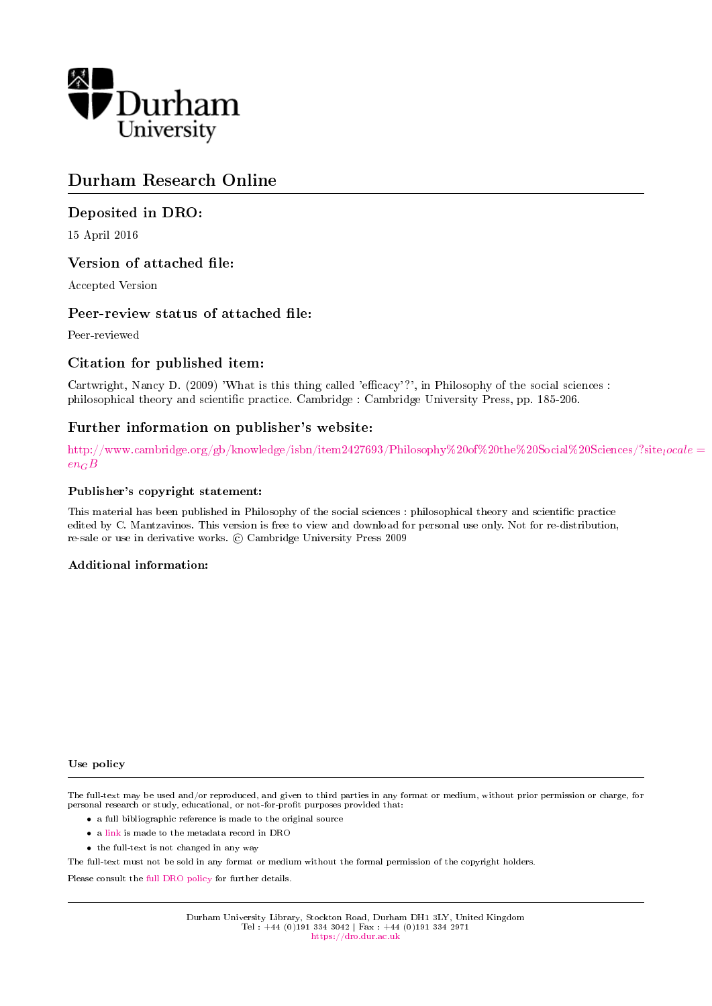

# Durham Research Online

# Deposited in DRO:

15 April 2016

# Version of attached file:

Accepted Version

# Peer-review status of attached file:

Peer-reviewed

# Citation for published item:

Cartwright, Nancy D. (2009) 'What is this thing called 'efficacy'?', in Philosophy of the social sciences : philosophical theory and scientific practice. Cambridge : Cambridge University Press, pp. 185-206.

# Further information on publisher's website:

[http://www.cambridge.org/gb/knowledge/isbn/item2427693/Philosophy%20of%20the%20Social%20Sciences/?s](http://www.cambridge.org/gb/knowledge/isbn/item2427693/Philosophy%20of%20the%20Social%20Sciences/?site_locale=en_GB)ite $\emph{scale}$  $en_GB$  $en_GB$ 

#### Publisher's copyright statement:

This material has been published in Philosophy of the social sciences : philosophical theory and scientic practice edited by C. Mantzavinos. This version is free to view and download for personal use only. Not for re-distribution, re-sale or use in derivative works.  $\odot$  Cambridge University Press 2009

#### Additional information:

#### Use policy

The full-text may be used and/or reproduced, and given to third parties in any format or medium, without prior permission or charge, for personal research or study, educational, or not-for-profit purposes provided that:

- a full bibliographic reference is made to the original source
- a [link](http://dro.dur.ac.uk/18383/) is made to the metadata record in DRO
- the full-text is not changed in any way

The full-text must not be sold in any format or medium without the formal permission of the copyright holders.

Please consult the [full DRO policy](https://dro.dur.ac.uk/policies/usepolicy.pdf) for further details.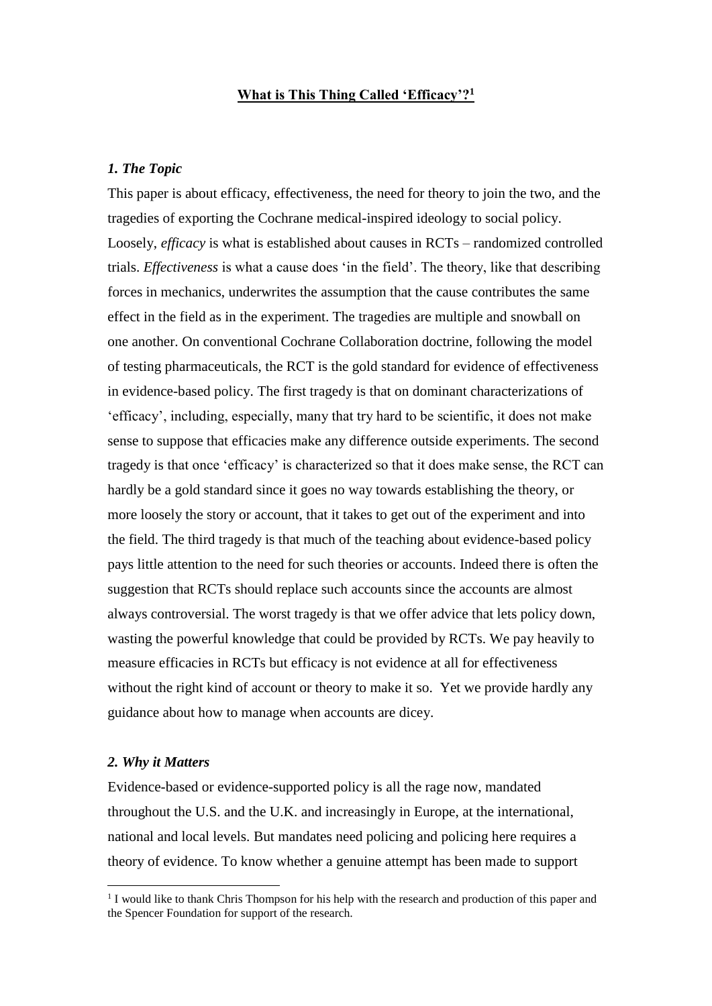#### **What is This Thing Called 'Efficacy'?<sup>1</sup>**

## *1. The Topic*

This paper is about efficacy, effectiveness, the need for theory to join the two, and the tragedies of exporting the Cochrane medical-inspired ideology to social policy. Loosely, *efficacy* is what is established about causes in RCTs – randomized controlled trials. *Effectiveness* is what a cause does 'in the field'. The theory, like that describing forces in mechanics, underwrites the assumption that the cause contributes the same effect in the field as in the experiment. The tragedies are multiple and snowball on one another. On conventional Cochrane Collaboration doctrine, following the model of testing pharmaceuticals, the RCT is the gold standard for evidence of effectiveness in evidence-based policy. The first tragedy is that on dominant characterizations of 'efficacy', including, especially, many that try hard to be scientific, it does not make sense to suppose that efficacies make any difference outside experiments. The second tragedy is that once 'efficacy' is characterized so that it does make sense, the RCT can hardly be a gold standard since it goes no way towards establishing the theory, or more loosely the story or account, that it takes to get out of the experiment and into the field. The third tragedy is that much of the teaching about evidence-based policy pays little attention to the need for such theories or accounts. Indeed there is often the suggestion that RCTs should replace such accounts since the accounts are almost always controversial. The worst tragedy is that we offer advice that lets policy down, wasting the powerful knowledge that could be provided by RCTs. We pay heavily to measure efficacies in RCTs but efficacy is not evidence at all for effectiveness without the right kind of account or theory to make it so. Yet we provide hardly any guidance about how to manage when accounts are dicey.

#### *2. Why it Matters*

1

Evidence-based or evidence-supported policy is all the rage now, mandated throughout the U.S. and the U.K. and increasingly in Europe, at the international, national and local levels. But mandates need policing and policing here requires a theory of evidence. To know whether a genuine attempt has been made to support

<sup>&</sup>lt;sup>1</sup> I would like to thank Chris Thompson for his help with the research and production of this paper and the Spencer Foundation for support of the research.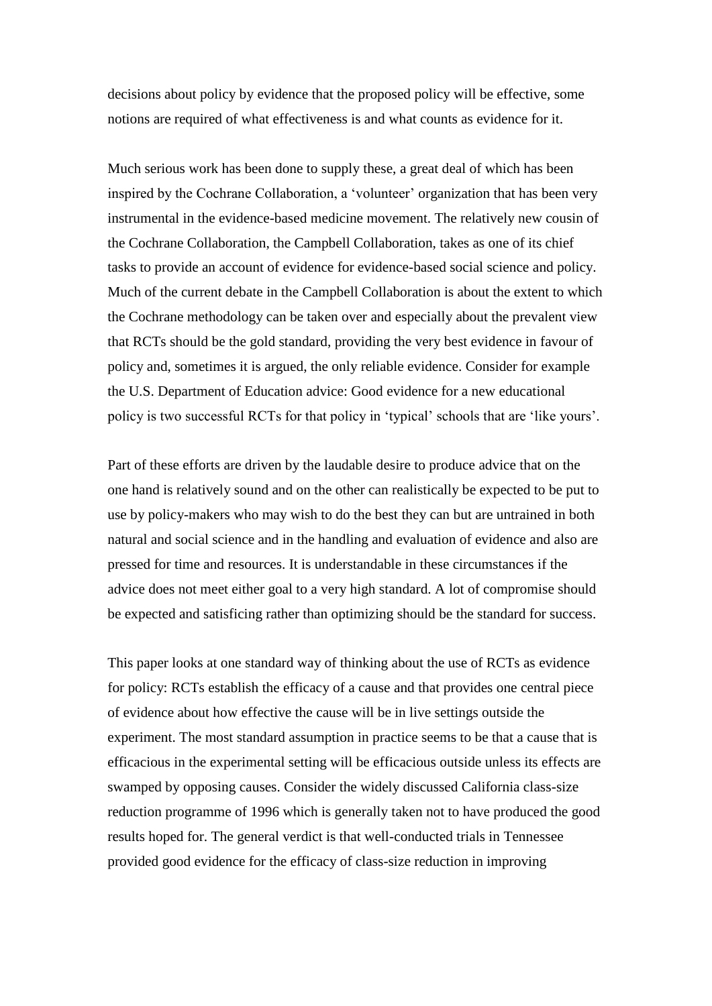decisions about policy by evidence that the proposed policy will be effective, some notions are required of what effectiveness is and what counts as evidence for it.

Much serious work has been done to supply these, a great deal of which has been inspired by the Cochrane Collaboration, a 'volunteer' organization that has been very instrumental in the evidence-based medicine movement. The relatively new cousin of the Cochrane Collaboration, the Campbell Collaboration, takes as one of its chief tasks to provide an account of evidence for evidence-based social science and policy. Much of the current debate in the Campbell Collaboration is about the extent to which the Cochrane methodology can be taken over and especially about the prevalent view that RCTs should be the gold standard, providing the very best evidence in favour of policy and, sometimes it is argued, the only reliable evidence. Consider for example the U.S. Department of Education advice: Good evidence for a new educational policy is two successful RCTs for that policy in 'typical' schools that are 'like yours'.

Part of these efforts are driven by the laudable desire to produce advice that on the one hand is relatively sound and on the other can realistically be expected to be put to use by policy-makers who may wish to do the best they can but are untrained in both natural and social science and in the handling and evaluation of evidence and also are pressed for time and resources. It is understandable in these circumstances if the advice does not meet either goal to a very high standard. A lot of compromise should be expected and satisficing rather than optimizing should be the standard for success.

This paper looks at one standard way of thinking about the use of RCTs as evidence for policy: RCTs establish the efficacy of a cause and that provides one central piece of evidence about how effective the cause will be in live settings outside the experiment. The most standard assumption in practice seems to be that a cause that is efficacious in the experimental setting will be efficacious outside unless its effects are swamped by opposing causes. Consider the widely discussed California class-size reduction programme of 1996 which is generally taken not to have produced the good results hoped for. The general verdict is that well-conducted trials in Tennessee provided good evidence for the efficacy of class-size reduction in improving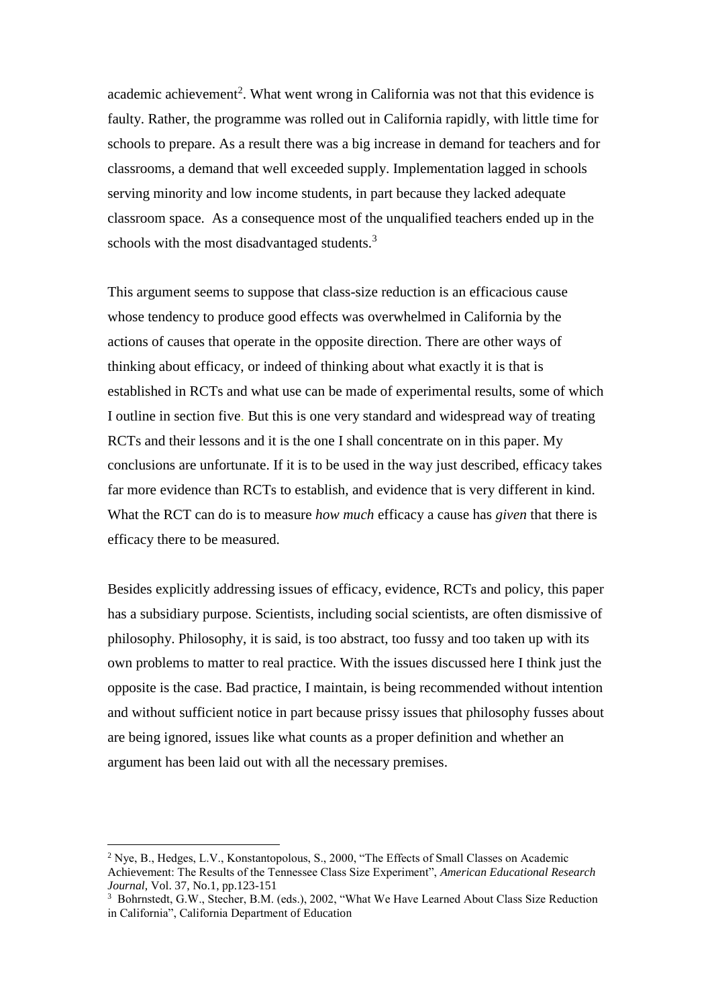academic achievement<sup>2</sup>. What went wrong in California was not that this evidence is faulty. Rather, the programme was rolled out in California rapidly, with little time for schools to prepare. As a result there was a big increase in demand for teachers and for classrooms, a demand that well exceeded supply. Implementation lagged in schools serving minority and low income students, in part because they lacked adequate classroom space. As a consequence most of the unqualified teachers ended up in the schools with the most disadvantaged students. $3$ 

This argument seems to suppose that class-size reduction is an efficacious cause whose tendency to produce good effects was overwhelmed in California by the actions of causes that operate in the opposite direction. There are other ways of thinking about efficacy, or indeed of thinking about what exactly it is that is established in RCTs and what use can be made of experimental results, some of which I outline in section five. But this is one very standard and widespread way of treating RCTs and their lessons and it is the one I shall concentrate on in this paper. My conclusions are unfortunate. If it is to be used in the way just described, efficacy takes far more evidence than RCTs to establish, and evidence that is very different in kind. What the RCT can do is to measure *how much* efficacy a cause has *given* that there is efficacy there to be measured.

Besides explicitly addressing issues of efficacy, evidence, RCTs and policy, this paper has a subsidiary purpose. Scientists, including social scientists, are often dismissive of philosophy. Philosophy, it is said, is too abstract, too fussy and too taken up with its own problems to matter to real practice. With the issues discussed here I think just the opposite is the case. Bad practice, I maintain, is being recommended without intention and without sufficient notice in part because prissy issues that philosophy fusses about are being ignored, issues like what counts as a proper definition and whether an argument has been laid out with all the necessary premises.

<u>.</u>

<sup>2</sup> Nye, B., Hedges, L.V., Konstantopolous, S., 2000, "The Effects of Small Classes on Academic Achievement: The Results of the Tennessee Class Size Experiment", *American Educational Research Journal*, Vol. 37, No.1, pp.123-151

<sup>3</sup> Bohrnstedt, G.W., Stecher, B.M. (eds.), 2002, "What We Have Learned About Class Size Reduction in California", California Department of Education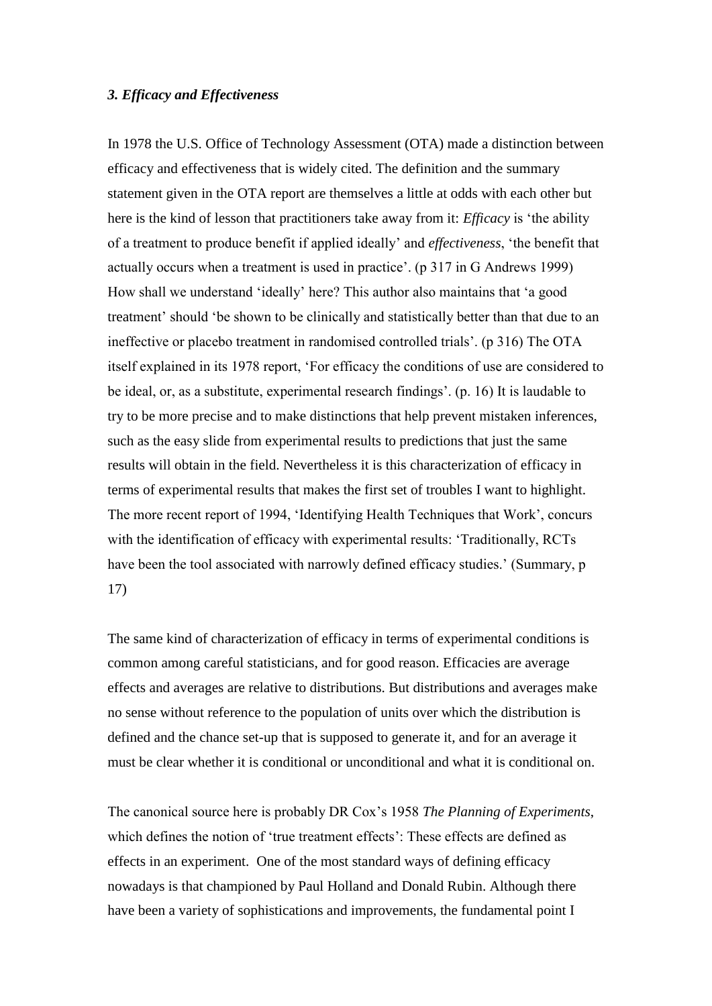## *3. Efficacy and Effectiveness*

In 1978 the U.S. Office of Technology Assessment (OTA) made a distinction between efficacy and effectiveness that is widely cited. The definition and the summary statement given in the OTA report are themselves a little at odds with each other but here is the kind of lesson that practitioners take away from it: *Efficacy* is 'the ability of a treatment to produce benefit if applied ideally' and *effectiveness*, 'the benefit that actually occurs when a treatment is used in practice'. (p 317 in G Andrews 1999) How shall we understand 'ideally' here? This author also maintains that 'a good treatment' should 'be shown to be clinically and statistically better than that due to an ineffective or placebo treatment in randomised controlled trials'. (p 316) The OTA itself explained in its 1978 report, 'For efficacy the conditions of use are considered to be ideal, or, as a substitute, experimental research findings'. (p. 16) It is laudable to try to be more precise and to make distinctions that help prevent mistaken inferences, such as the easy slide from experimental results to predictions that just the same results will obtain in the field. Nevertheless it is this characterization of efficacy in terms of experimental results that makes the first set of troubles I want to highlight. The more recent report of 1994, 'Identifying Health Techniques that Work', concurs with the identification of efficacy with experimental results: 'Traditionally, RCTs have been the tool associated with narrowly defined efficacy studies.' (Summary, p 17)

The same kind of characterization of efficacy in terms of experimental conditions is common among careful statisticians, and for good reason. Efficacies are average effects and averages are relative to distributions. But distributions and averages make no sense without reference to the population of units over which the distribution is defined and the chance set-up that is supposed to generate it, and for an average it must be clear whether it is conditional or unconditional and what it is conditional on.

The canonical source here is probably DR Cox's 1958 *The Planning of Experiments*, which defines the notion of 'true treatment effects': These effects are defined as effects in an experiment. One of the most standard ways of defining efficacy nowadays is that championed by Paul Holland and Donald Rubin. Although there have been a variety of sophistications and improvements, the fundamental point I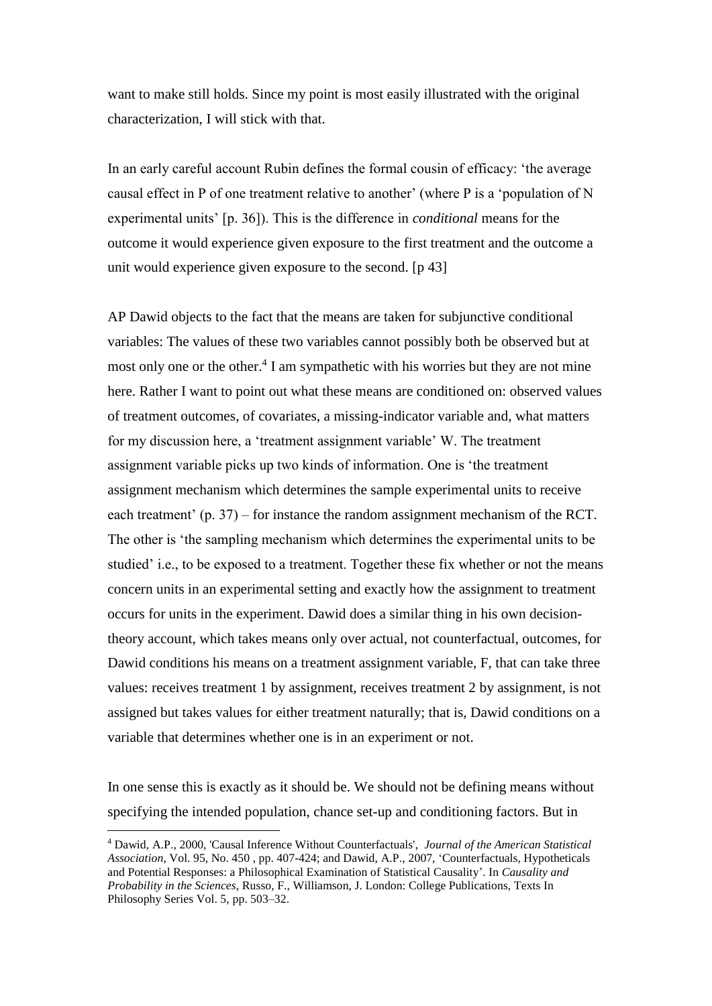want to make still holds. Since my point is most easily illustrated with the original characterization, I will stick with that.

In an early careful account Rubin defines the formal cousin of efficacy: 'the average causal effect in P of one treatment relative to another' (where P is a 'population of N experimental units' [p. 36]). This is the difference in *conditional* means for the outcome it would experience given exposure to the first treatment and the outcome a unit would experience given exposure to the second. [p 43]

AP Dawid objects to the fact that the means are taken for subjunctive conditional variables: The values of these two variables cannot possibly both be observed but at most only one or the other.<sup>4</sup> I am sympathetic with his worries but they are not mine here. Rather I want to point out what these means are conditioned on: observed values of treatment outcomes, of covariates, a missing-indicator variable and, what matters for my discussion here, a 'treatment assignment variable' W. The treatment assignment variable picks up two kinds of information. One is 'the treatment assignment mechanism which determines the sample experimental units to receive each treatment' (p. 37) – for instance the random assignment mechanism of the RCT. The other is 'the sampling mechanism which determines the experimental units to be studied' i.e., to be exposed to a treatment. Together these fix whether or not the means concern units in an experimental setting and exactly how the assignment to treatment occurs for units in the experiment. Dawid does a similar thing in his own decisiontheory account, which takes means only over actual, not counterfactual, outcomes, for Dawid conditions his means on a treatment assignment variable, F, that can take three values: receives treatment 1 by assignment, receives treatment 2 by assignment, is not assigned but takes values for either treatment naturally; that is, Dawid conditions on a variable that determines whether one is in an experiment or not.

In one sense this is exactly as it should be. We should not be defining means without specifying the intended population, chance set-up and conditioning factors. But in

1

<sup>4</sup> Dawid, A.P., 2000, 'Causal Inference Without Counterfactuals', *Journal of the American Statistical Association*, Vol. 95, No. 450 , pp. 407-424; and Dawid, A.P., 2007, 'Counterfactuals, Hypotheticals and Potential Responses: a Philosophical Examination of Statistical Causality'. In *Causality and Probability in the Sciences*, Russo, F., Williamson, J. London: College Publications, Texts In Philosophy Series Vol. 5, pp. 503–32.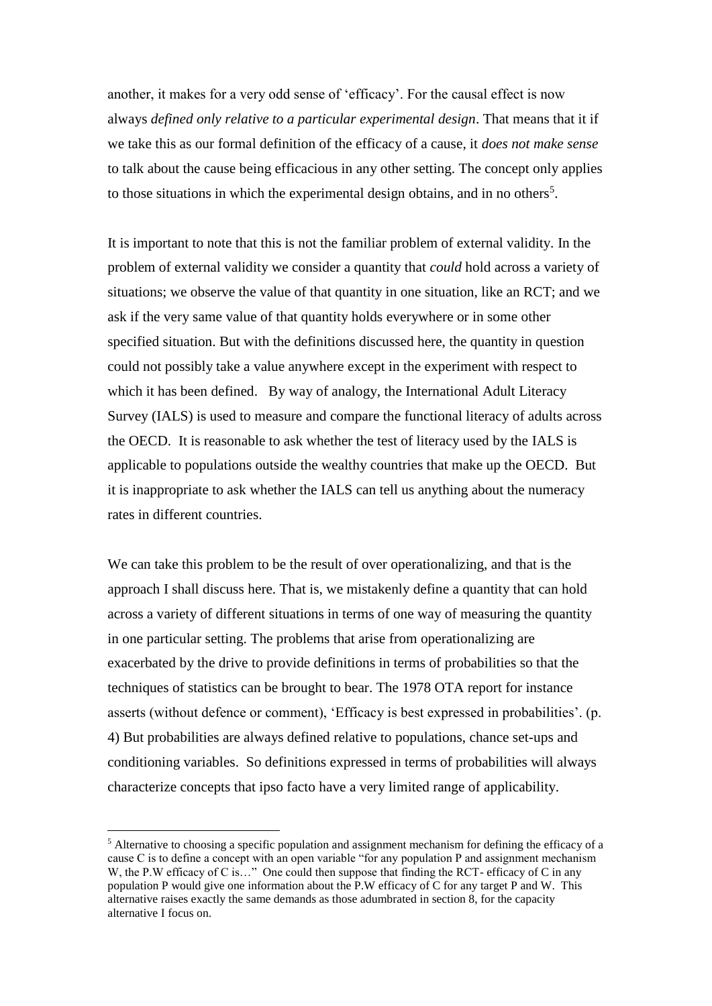another, it makes for a very odd sense of 'efficacy'. For the causal effect is now always *defined only relative to a particular experimental design*. That means that it if we take this as our formal definition of the efficacy of a cause, it *does not make sense* to talk about the cause being efficacious in any other setting. The concept only applies to those situations in which the experimental design obtains, and in no others<sup>5</sup>.

It is important to note that this is not the familiar problem of external validity. In the problem of external validity we consider a quantity that *could* hold across a variety of situations; we observe the value of that quantity in one situation, like an RCT; and we ask if the very same value of that quantity holds everywhere or in some other specified situation. But with the definitions discussed here, the quantity in question could not possibly take a value anywhere except in the experiment with respect to which it has been defined. By way of analogy, the International Adult Literacy Survey (IALS) is used to measure and compare the functional literacy of adults across the OECD. It is reasonable to ask whether the test of literacy used by the IALS is applicable to populations outside the wealthy countries that make up the OECD. But it is inappropriate to ask whether the IALS can tell us anything about the numeracy rates in different countries.

We can take this problem to be the result of over operationalizing, and that is the approach I shall discuss here. That is, we mistakenly define a quantity that can hold across a variety of different situations in terms of one way of measuring the quantity in one particular setting. The problems that arise from operationalizing are exacerbated by the drive to provide definitions in terms of probabilities so that the techniques of statistics can be brought to bear. The 1978 OTA report for instance asserts (without defence or comment), 'Efficacy is best expressed in probabilities'. (p. 4) But probabilities are always defined relative to populations, chance set-ups and conditioning variables. So definitions expressed in terms of probabilities will always characterize concepts that ipso facto have a very limited range of applicability.

1

 $<sup>5</sup>$  Alternative to choosing a specific population and assignment mechanism for defining the efficacy of a</sup> cause C is to define a concept with an open variable "for any population P and assignment mechanism W, the P.W efficacy of C is…" One could then suppose that finding the RCT- efficacy of C in any population P would give one information about the P.W efficacy of C for any target P and W. This alternative raises exactly the same demands as those adumbrated in section 8, for the capacity alternative I focus on.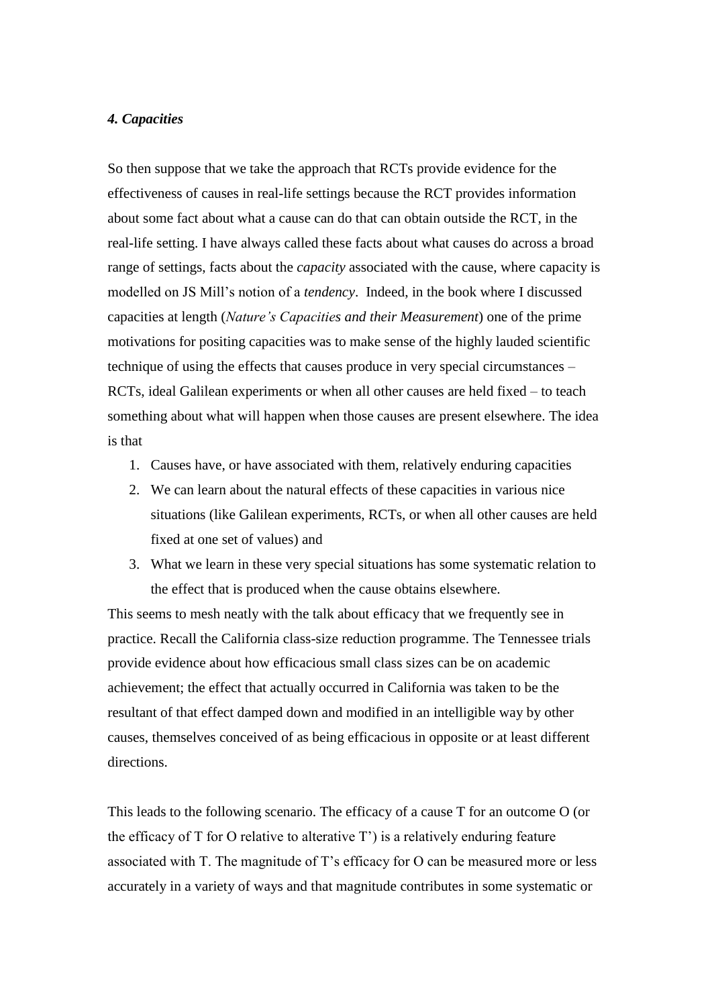## *4. Capacities*

So then suppose that we take the approach that RCTs provide evidence for the effectiveness of causes in real-life settings because the RCT provides information about some fact about what a cause can do that can obtain outside the RCT, in the real-life setting. I have always called these facts about what causes do across a broad range of settings, facts about the *capacity* associated with the cause, where capacity is modelled on JS Mill's notion of a *tendency*. Indeed, in the book where I discussed capacities at length (*Nature's Capacities and their Measurement*) one of the prime motivations for positing capacities was to make sense of the highly lauded scientific technique of using the effects that causes produce in very special circumstances – RCTs, ideal Galilean experiments or when all other causes are held fixed – to teach something about what will happen when those causes are present elsewhere. The idea is that

- 1. Causes have, or have associated with them, relatively enduring capacities
- 2. We can learn about the natural effects of these capacities in various nice situations (like Galilean experiments, RCTs, or when all other causes are held fixed at one set of values) and
- 3. What we learn in these very special situations has some systematic relation to the effect that is produced when the cause obtains elsewhere.

This seems to mesh neatly with the talk about efficacy that we frequently see in practice. Recall the California class-size reduction programme. The Tennessee trials provide evidence about how efficacious small class sizes can be on academic achievement; the effect that actually occurred in California was taken to be the resultant of that effect damped down and modified in an intelligible way by other causes, themselves conceived of as being efficacious in opposite or at least different directions.

This leads to the following scenario. The efficacy of a cause T for an outcome O (or the efficacy of T for O relative to alterative T') is a relatively enduring feature associated with T. The magnitude of T's efficacy for O can be measured more or less accurately in a variety of ways and that magnitude contributes in some systematic or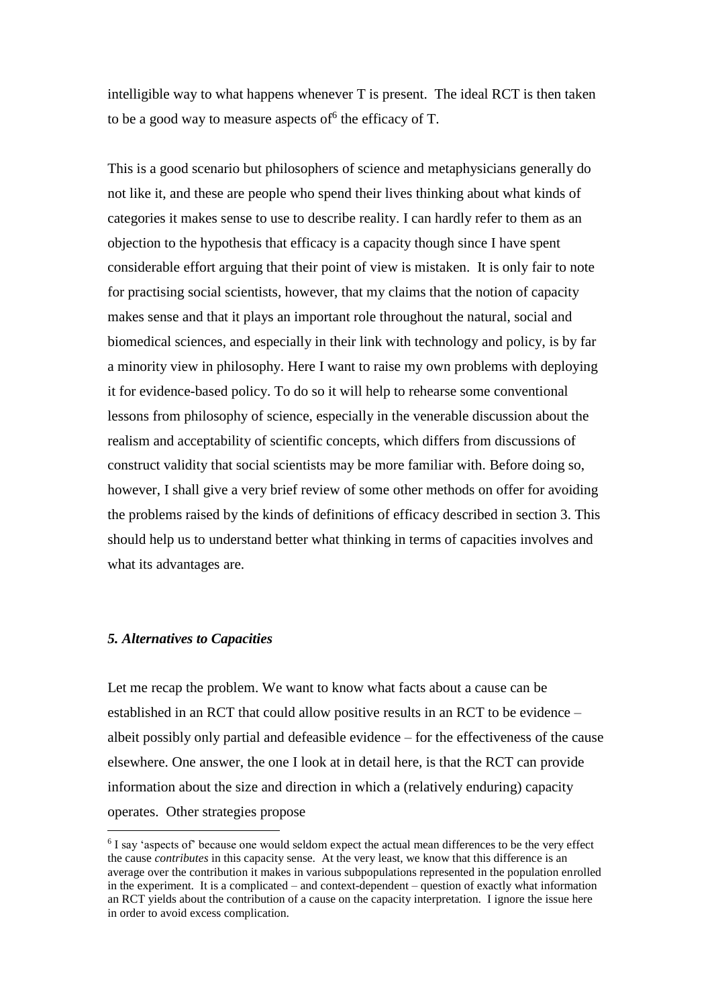intelligible way to what happens whenever T is present. The ideal RCT is then taken to be a good way to measure aspects of  $6$  the efficacy of T.

This is a good scenario but philosophers of science and metaphysicians generally do not like it, and these are people who spend their lives thinking about what kinds of categories it makes sense to use to describe reality. I can hardly refer to them as an objection to the hypothesis that efficacy is a capacity though since I have spent considerable effort arguing that their point of view is mistaken. It is only fair to note for practising social scientists, however, that my claims that the notion of capacity makes sense and that it plays an important role throughout the natural, social and biomedical sciences, and especially in their link with technology and policy, is by far a minority view in philosophy. Here I want to raise my own problems with deploying it for evidence-based policy. To do so it will help to rehearse some conventional lessons from philosophy of science, especially in the venerable discussion about the realism and acceptability of scientific concepts, which differs from discussions of construct validity that social scientists may be more familiar with. Before doing so, however, I shall give a very brief review of some other methods on offer for avoiding the problems raised by the kinds of definitions of efficacy described in section 3. This should help us to understand better what thinking in terms of capacities involves and what its advantages are.

## *5. Alternatives to Capacities*

1

Let me recap the problem. We want to know what facts about a cause can be established in an RCT that could allow positive results in an RCT to be evidence – albeit possibly only partial and defeasible evidence – for the effectiveness of the cause elsewhere. One answer, the one I look at in detail here, is that the RCT can provide information about the size and direction in which a (relatively enduring) capacity operates. Other strategies propose

<sup>&</sup>lt;sup>6</sup> I say 'aspects of' because one would seldom expect the actual mean differences to be the very effect the cause *contributes* in this capacity sense. At the very least, we know that this difference is an average over the contribution it makes in various subpopulations represented in the population enrolled in the experiment. It is a complicated – and context-dependent – question of exactly what information an RCT yields about the contribution of a cause on the capacity interpretation. I ignore the issue here in order to avoid excess complication.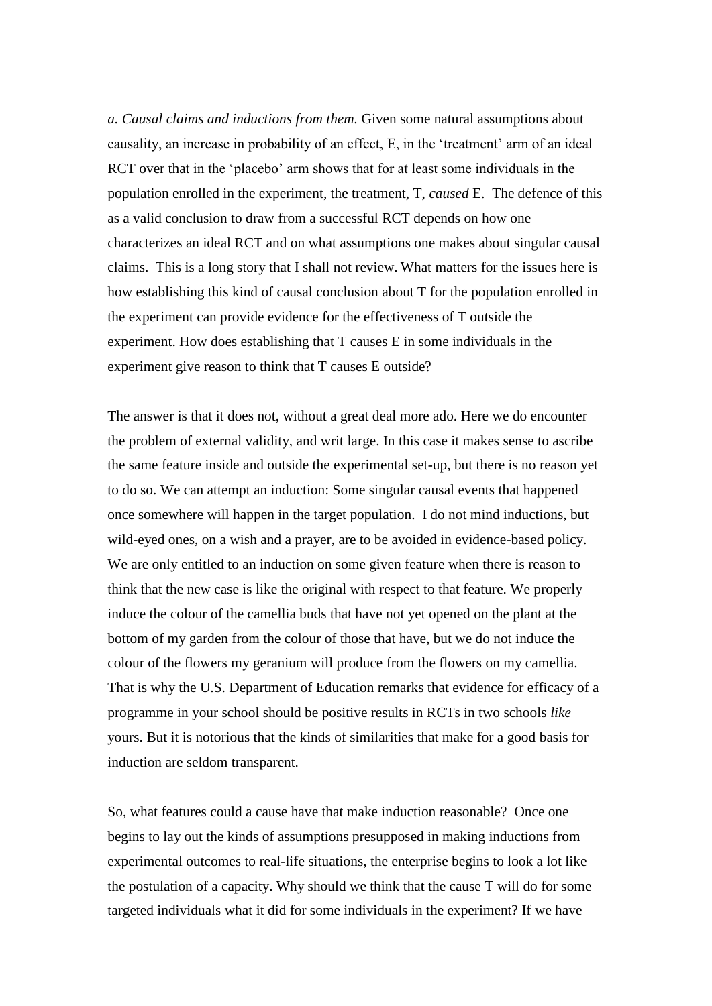*a. Causal claims and inductions from them.* Given some natural assumptions about causality, an increase in probability of an effect, E, in the 'treatment' arm of an ideal RCT over that in the 'placebo' arm shows that for at least some individuals in the population enrolled in the experiment, the treatment, T, *caused* E. The defence of this as a valid conclusion to draw from a successful RCT depends on how one characterizes an ideal RCT and on what assumptions one makes about singular causal claims. This is a long story that I shall not review. What matters for the issues here is how establishing this kind of causal conclusion about T for the population enrolled in the experiment can provide evidence for the effectiveness of T outside the experiment. How does establishing that T causes E in some individuals in the experiment give reason to think that T causes E outside?

The answer is that it does not, without a great deal more ado. Here we do encounter the problem of external validity, and writ large. In this case it makes sense to ascribe the same feature inside and outside the experimental set-up, but there is no reason yet to do so. We can attempt an induction: Some singular causal events that happened once somewhere will happen in the target population. I do not mind inductions, but wild-eyed ones, on a wish and a prayer, are to be avoided in evidence-based policy. We are only entitled to an induction on some given feature when there is reason to think that the new case is like the original with respect to that feature. We properly induce the colour of the camellia buds that have not yet opened on the plant at the bottom of my garden from the colour of those that have, but we do not induce the colour of the flowers my geranium will produce from the flowers on my camellia. That is why the U.S. Department of Education remarks that evidence for efficacy of a programme in your school should be positive results in RCTs in two schools *like* yours. But it is notorious that the kinds of similarities that make for a good basis for induction are seldom transparent.

So, what features could a cause have that make induction reasonable? Once one begins to lay out the kinds of assumptions presupposed in making inductions from experimental outcomes to real-life situations, the enterprise begins to look a lot like the postulation of a capacity. Why should we think that the cause T will do for some targeted individuals what it did for some individuals in the experiment? If we have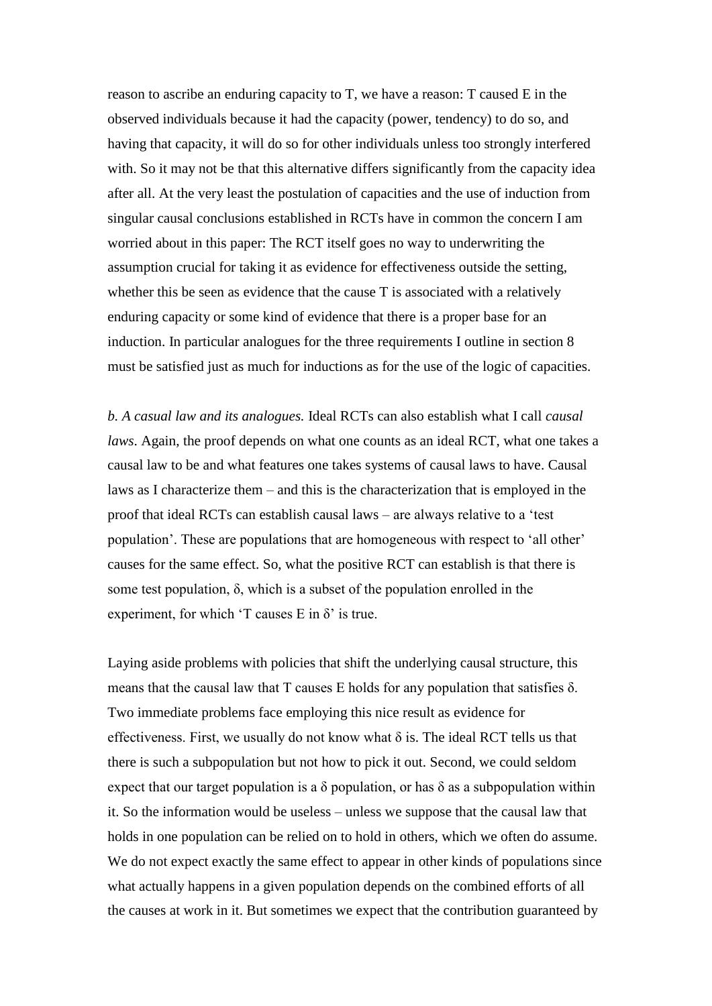reason to ascribe an enduring capacity to T, we have a reason: T caused E in the observed individuals because it had the capacity (power, tendency) to do so, and having that capacity, it will do so for other individuals unless too strongly interfered with. So it may not be that this alternative differs significantly from the capacity idea after all. At the very least the postulation of capacities and the use of induction from singular causal conclusions established in RCTs have in common the concern I am worried about in this paper: The RCT itself goes no way to underwriting the assumption crucial for taking it as evidence for effectiveness outside the setting, whether this be seen as evidence that the cause T is associated with a relatively enduring capacity or some kind of evidence that there is a proper base for an induction. In particular analogues for the three requirements I outline in section 8 must be satisfied just as much for inductions as for the use of the logic of capacities.

*b. A casual law and its analogues.* Ideal RCTs can also establish what I call *causal laws*. Again, the proof depends on what one counts as an ideal RCT, what one takes a causal law to be and what features one takes systems of causal laws to have. Causal laws as I characterize them – and this is the characterization that is employed in the proof that ideal RCTs can establish causal laws – are always relative to a 'test population'. These are populations that are homogeneous with respect to 'all other' causes for the same effect. So, what the positive RCT can establish is that there is some test population,  $\delta$ , which is a subset of the population enrolled in the experiment, for which 'T causes E in δ' is true.

Laying aside problems with policies that shift the underlying causal structure, this means that the causal law that T causes E holds for any population that satisfies  $\delta$ . Two immediate problems face employing this nice result as evidence for effectiveness. First, we usually do not know what  $\delta$  is. The ideal RCT tells us that there is such a subpopulation but not how to pick it out. Second, we could seldom expect that our target population is a  $\delta$  population, or has  $\delta$  as a subpopulation within it. So the information would be useless – unless we suppose that the causal law that holds in one population can be relied on to hold in others, which we often do assume. We do not expect exactly the same effect to appear in other kinds of populations since what actually happens in a given population depends on the combined efforts of all the causes at work in it. But sometimes we expect that the contribution guaranteed by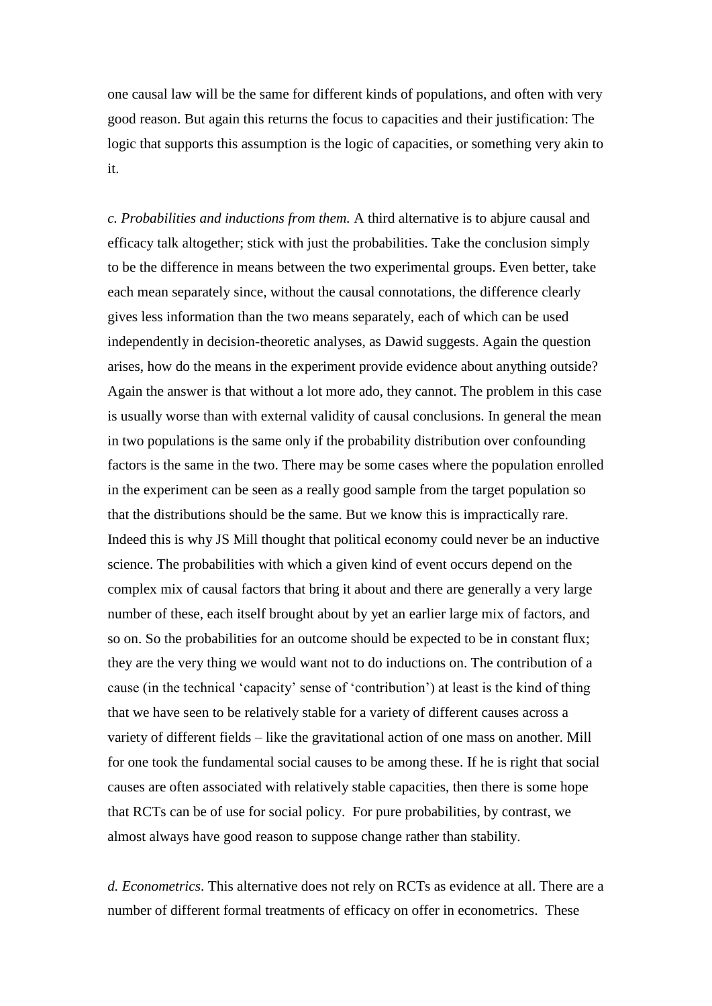one causal law will be the same for different kinds of populations, and often with very good reason. But again this returns the focus to capacities and their justification: The logic that supports this assumption is the logic of capacities, or something very akin to it.

*c. Probabilities and inductions from them.* A third alternative is to abjure causal and efficacy talk altogether; stick with just the probabilities. Take the conclusion simply to be the difference in means between the two experimental groups. Even better, take each mean separately since, without the causal connotations, the difference clearly gives less information than the two means separately, each of which can be used independently in decision-theoretic analyses, as Dawid suggests. Again the question arises, how do the means in the experiment provide evidence about anything outside? Again the answer is that without a lot more ado, they cannot. The problem in this case is usually worse than with external validity of causal conclusions. In general the mean in two populations is the same only if the probability distribution over confounding factors is the same in the two. There may be some cases where the population enrolled in the experiment can be seen as a really good sample from the target population so that the distributions should be the same. But we know this is impractically rare. Indeed this is why JS Mill thought that political economy could never be an inductive science. The probabilities with which a given kind of event occurs depend on the complex mix of causal factors that bring it about and there are generally a very large number of these, each itself brought about by yet an earlier large mix of factors, and so on. So the probabilities for an outcome should be expected to be in constant flux; they are the very thing we would want not to do inductions on. The contribution of a cause (in the technical 'capacity' sense of 'contribution') at least is the kind of thing that we have seen to be relatively stable for a variety of different causes across a variety of different fields – like the gravitational action of one mass on another. Mill for one took the fundamental social causes to be among these. If he is right that social causes are often associated with relatively stable capacities, then there is some hope that RCTs can be of use for social policy. For pure probabilities, by contrast, we almost always have good reason to suppose change rather than stability.

*d. Econometrics*. This alternative does not rely on RCTs as evidence at all. There are a number of different formal treatments of efficacy on offer in econometrics. These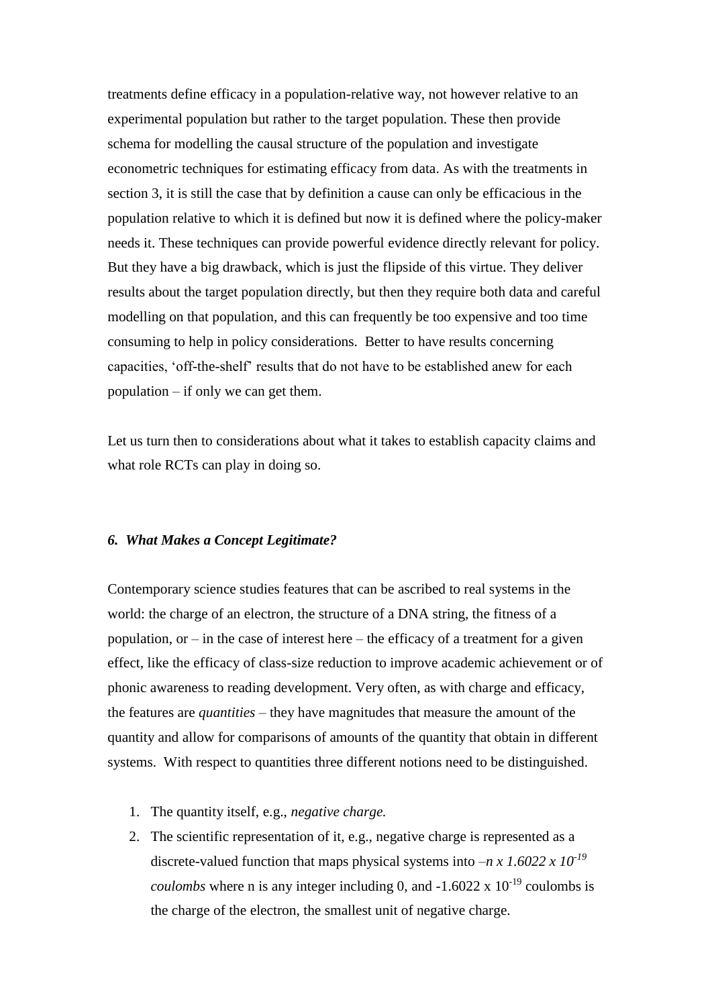treatments define efficacy in a population-relative way, not however relative to an experimental population but rather to the target population. These then provide schema for modelling the causal structure of the population and investigate econometric techniques for estimating efficacy from data. As with the treatments in section 3, it is still the case that by definition a cause can only be efficacious in the population relative to which it is defined but now it is defined where the policy-maker needs it. These techniques can provide powerful evidence directly relevant for policy. But they have a big drawback, which is just the flipside of this virtue. They deliver results about the target population directly, but then they require both data and careful modelling on that population, and this can frequently be too expensive and too time consuming to help in policy considerations. Better to have results concerning capacities, 'off-the-shelf' results that do not have to be established anew for each population – if only we can get them.

Let us turn then to considerations about what it takes to establish capacity claims and what role RCTs can play in doing so.

#### *6. What Makes a Concept Legitimate?*

Contemporary science studies features that can be ascribed to real systems in the world: the charge of an electron, the structure of a DNA string, the fitness of a population, or  $-$  in the case of interest here  $-$  the efficacy of a treatment for a given effect, like the efficacy of class-size reduction to improve academic achievement or of phonic awareness to reading development. Very often, as with charge and efficacy, the features are *quantities* – they have magnitudes that measure the amount of the quantity and allow for comparisons of amounts of the quantity that obtain in different systems. With respect to quantities three different notions need to be distinguished.

- 1. The quantity itself, e.g., *negative charge.*
- 2. The scientific representation of it, e.g., negative charge is represented as a discrete-valued function that maps physical systems into  $-n \times 1.6022 \times 10^{-19}$ *coulombs* where n is any integer including 0, and  $-1.6022 \times 10^{-19}$  coulombs is the charge of the electron, the smallest unit of negative charge.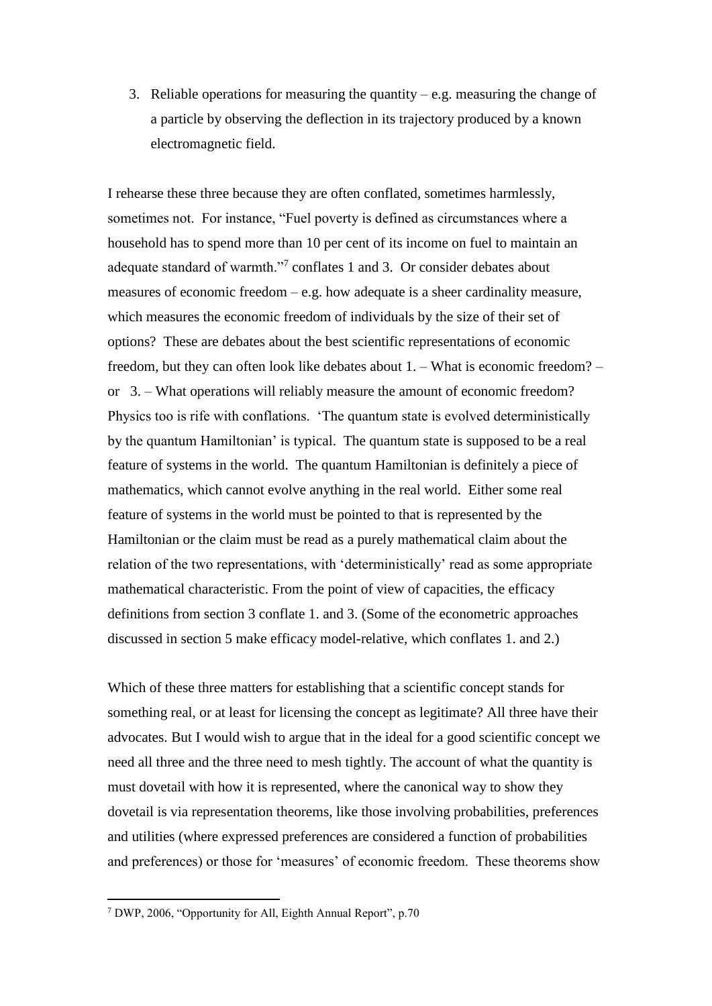3. Reliable operations for measuring the quantity – e.g. measuring the change of a particle by observing the deflection in its trajectory produced by a known electromagnetic field.

I rehearse these three because they are often conflated, sometimes harmlessly, sometimes not. For instance, "Fuel poverty is defined as circumstances where a household has to spend more than 10 per cent of its income on fuel to maintain an adequate standard of warmth."<sup>7</sup> conflates 1 and 3. Or consider debates about measures of economic freedom – e.g. how adequate is a sheer cardinality measure, which measures the economic freedom of individuals by the size of their set of options? These are debates about the best scientific representations of economic freedom, but they can often look like debates about 1. – What is economic freedom? – or 3. – What operations will reliably measure the amount of economic freedom? Physics too is rife with conflations. 'The quantum state is evolved deterministically by the quantum Hamiltonian' is typical. The quantum state is supposed to be a real feature of systems in the world. The quantum Hamiltonian is definitely a piece of mathematics, which cannot evolve anything in the real world. Either some real feature of systems in the world must be pointed to that is represented by the Hamiltonian or the claim must be read as a purely mathematical claim about the relation of the two representations, with 'deterministically' read as some appropriate mathematical characteristic. From the point of view of capacities, the efficacy definitions from section 3 conflate 1. and 3. (Some of the econometric approaches discussed in section 5 make efficacy model-relative, which conflates 1. and 2.)

Which of these three matters for establishing that a scientific concept stands for something real, or at least for licensing the concept as legitimate? All three have their advocates. But I would wish to argue that in the ideal for a good scientific concept we need all three and the three need to mesh tightly. The account of what the quantity is must dovetail with how it is represented, where the canonical way to show they dovetail is via representation theorems, like those involving probabilities, preferences and utilities (where expressed preferences are considered a function of probabilities and preferences) or those for 'measures' of economic freedom. These theorems show

1

<sup>7</sup> DWP, 2006, "Opportunity for All, Eighth Annual Report", p.70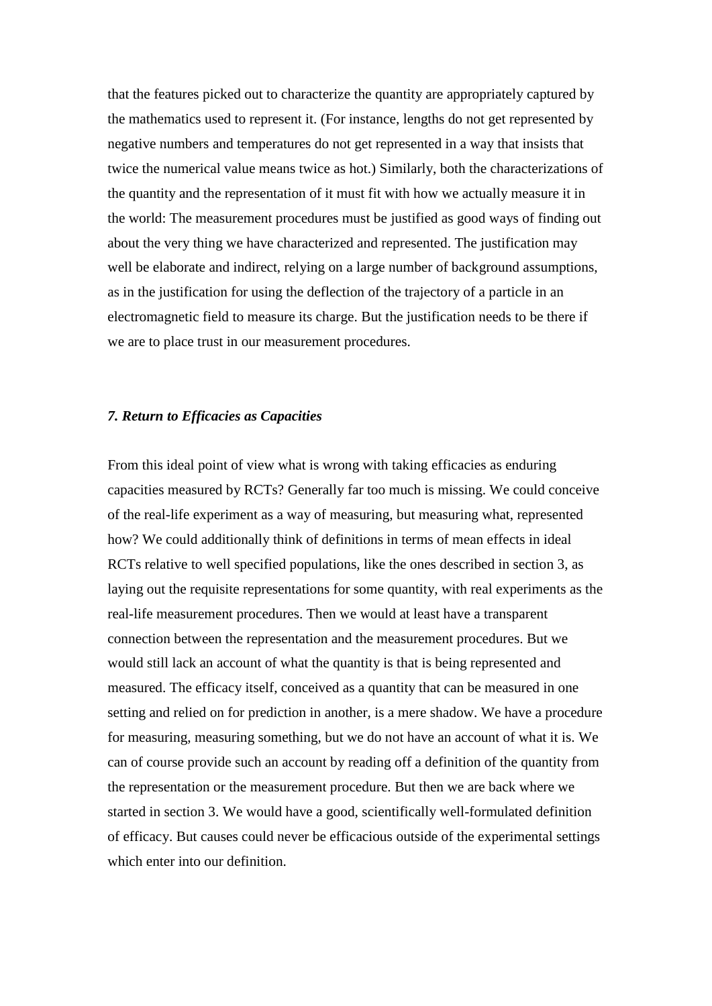that the features picked out to characterize the quantity are appropriately captured by the mathematics used to represent it. (For instance, lengths do not get represented by negative numbers and temperatures do not get represented in a way that insists that twice the numerical value means twice as hot.) Similarly, both the characterizations of the quantity and the representation of it must fit with how we actually measure it in the world: The measurement procedures must be justified as good ways of finding out about the very thing we have characterized and represented. The justification may well be elaborate and indirect, relying on a large number of background assumptions, as in the justification for using the deflection of the trajectory of a particle in an electromagnetic field to measure its charge. But the justification needs to be there if we are to place trust in our measurement procedures.

### *7. Return to Efficacies as Capacities*

From this ideal point of view what is wrong with taking efficacies as enduring capacities measured by RCTs? Generally far too much is missing. We could conceive of the real-life experiment as a way of measuring, but measuring what, represented how? We could additionally think of definitions in terms of mean effects in ideal RCTs relative to well specified populations, like the ones described in section 3, as laying out the requisite representations for some quantity, with real experiments as the real-life measurement procedures. Then we would at least have a transparent connection between the representation and the measurement procedures. But we would still lack an account of what the quantity is that is being represented and measured. The efficacy itself, conceived as a quantity that can be measured in one setting and relied on for prediction in another, is a mere shadow. We have a procedure for measuring, measuring something, but we do not have an account of what it is. We can of course provide such an account by reading off a definition of the quantity from the representation or the measurement procedure. But then we are back where we started in section 3. We would have a good, scientifically well-formulated definition of efficacy. But causes could never be efficacious outside of the experimental settings which enter into our definition.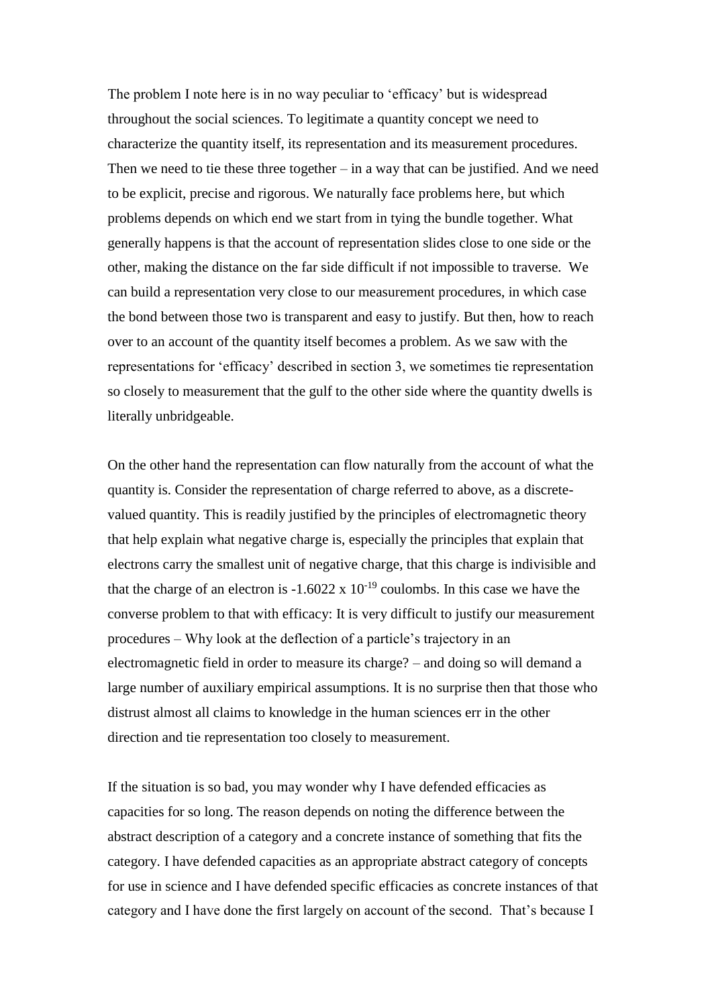The problem I note here is in no way peculiar to 'efficacy' but is widespread throughout the social sciences. To legitimate a quantity concept we need to characterize the quantity itself, its representation and its measurement procedures. Then we need to tie these three together  $-$  in a way that can be justified. And we need to be explicit, precise and rigorous. We naturally face problems here, but which problems depends on which end we start from in tying the bundle together. What generally happens is that the account of representation slides close to one side or the other, making the distance on the far side difficult if not impossible to traverse. We can build a representation very close to our measurement procedures, in which case the bond between those two is transparent and easy to justify. But then, how to reach over to an account of the quantity itself becomes a problem. As we saw with the representations for 'efficacy' described in section 3, we sometimes tie representation so closely to measurement that the gulf to the other side where the quantity dwells is literally unbridgeable.

On the other hand the representation can flow naturally from the account of what the quantity is. Consider the representation of charge referred to above, as a discretevalued quantity. This is readily justified by the principles of electromagnetic theory that help explain what negative charge is, especially the principles that explain that electrons carry the smallest unit of negative charge, that this charge is indivisible and that the charge of an electron is  $-1.6022 \times 10^{-19}$  coulombs. In this case we have the converse problem to that with efficacy: It is very difficult to justify our measurement procedures – Why look at the deflection of a particle's trajectory in an electromagnetic field in order to measure its charge? – and doing so will demand a large number of auxiliary empirical assumptions. It is no surprise then that those who distrust almost all claims to knowledge in the human sciences err in the other direction and tie representation too closely to measurement.

If the situation is so bad, you may wonder why I have defended efficacies as capacities for so long. The reason depends on noting the difference between the abstract description of a category and a concrete instance of something that fits the category. I have defended capacities as an appropriate abstract category of concepts for use in science and I have defended specific efficacies as concrete instances of that category and I have done the first largely on account of the second. That's because I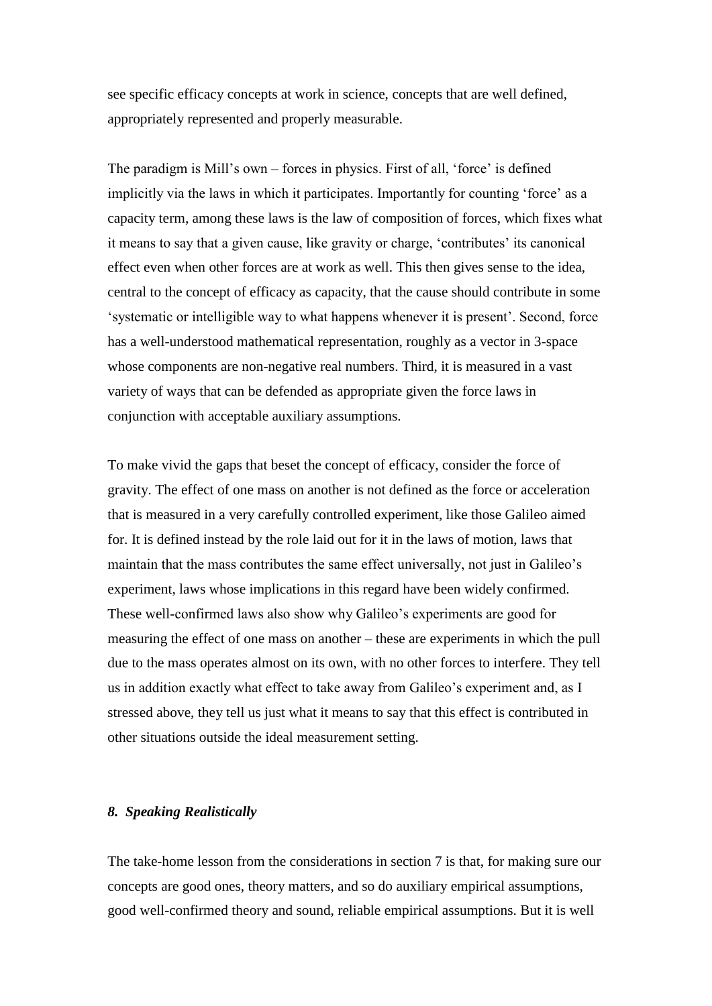see specific efficacy concepts at work in science, concepts that are well defined, appropriately represented and properly measurable.

The paradigm is Mill's own – forces in physics. First of all, 'force' is defined implicitly via the laws in which it participates. Importantly for counting 'force' as a capacity term, among these laws is the law of composition of forces, which fixes what it means to say that a given cause, like gravity or charge, 'contributes' its canonical effect even when other forces are at work as well. This then gives sense to the idea, central to the concept of efficacy as capacity, that the cause should contribute in some 'systematic or intelligible way to what happens whenever it is present'. Second, force has a well-understood mathematical representation, roughly as a vector in 3-space whose components are non-negative real numbers. Third, it is measured in a vast variety of ways that can be defended as appropriate given the force laws in conjunction with acceptable auxiliary assumptions.

To make vivid the gaps that beset the concept of efficacy, consider the force of gravity. The effect of one mass on another is not defined as the force or acceleration that is measured in a very carefully controlled experiment, like those Galileo aimed for. It is defined instead by the role laid out for it in the laws of motion, laws that maintain that the mass contributes the same effect universally, not just in Galileo's experiment, laws whose implications in this regard have been widely confirmed. These well-confirmed laws also show why Galileo's experiments are good for measuring the effect of one mass on another – these are experiments in which the pull due to the mass operates almost on its own, with no other forces to interfere. They tell us in addition exactly what effect to take away from Galileo's experiment and, as I stressed above, they tell us just what it means to say that this effect is contributed in other situations outside the ideal measurement setting.

## *8. Speaking Realistically*

The take-home lesson from the considerations in section 7 is that, for making sure our concepts are good ones, theory matters, and so do auxiliary empirical assumptions, good well-confirmed theory and sound, reliable empirical assumptions. But it is well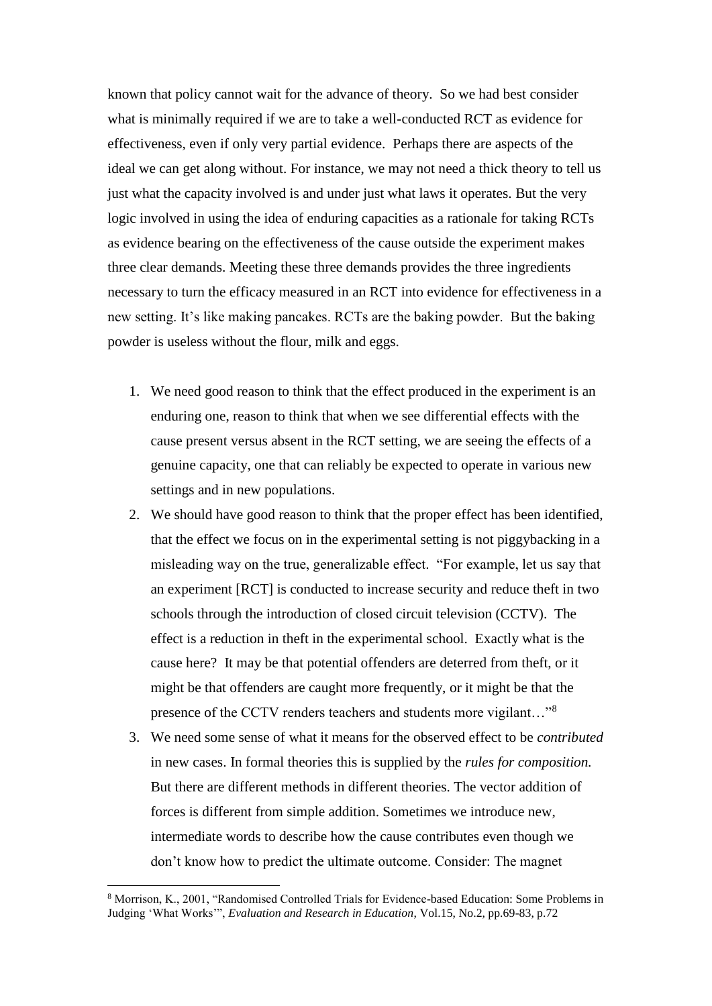known that policy cannot wait for the advance of theory. So we had best consider what is minimally required if we are to take a well-conducted RCT as evidence for effectiveness, even if only very partial evidence. Perhaps there are aspects of the ideal we can get along without. For instance, we may not need a thick theory to tell us just what the capacity involved is and under just what laws it operates. But the very logic involved in using the idea of enduring capacities as a rationale for taking RCTs as evidence bearing on the effectiveness of the cause outside the experiment makes three clear demands. Meeting these three demands provides the three ingredients necessary to turn the efficacy measured in an RCT into evidence for effectiveness in a new setting. It's like making pancakes. RCTs are the baking powder. But the baking powder is useless without the flour, milk and eggs.

- 1. We need good reason to think that the effect produced in the experiment is an enduring one, reason to think that when we see differential effects with the cause present versus absent in the RCT setting, we are seeing the effects of a genuine capacity, one that can reliably be expected to operate in various new settings and in new populations.
- 2. We should have good reason to think that the proper effect has been identified, that the effect we focus on in the experimental setting is not piggybacking in a misleading way on the true, generalizable effect. "For example, let us say that an experiment [RCT] is conducted to increase security and reduce theft in two schools through the introduction of closed circuit television (CCTV). The effect is a reduction in theft in the experimental school. Exactly what is the cause here? It may be that potential offenders are deterred from theft, or it might be that offenders are caught more frequently, or it might be that the presence of the CCTV renders teachers and students more vigilant…"<sup>8</sup>
- 3. We need some sense of what it means for the observed effect to be *contributed* in new cases. In formal theories this is supplied by the *rules for composition.* But there are different methods in different theories. The vector addition of forces is different from simple addition. Sometimes we introduce new, intermediate words to describe how the cause contributes even though we don't know how to predict the ultimate outcome. Consider: The magnet

1

<sup>8</sup> Morrison, K., 2001, "Randomised Controlled Trials for Evidence-based Education: Some Problems in Judging 'What Works'", *Evaluation and Research in Education*, Vol.15, No.2, pp.69-83, p.72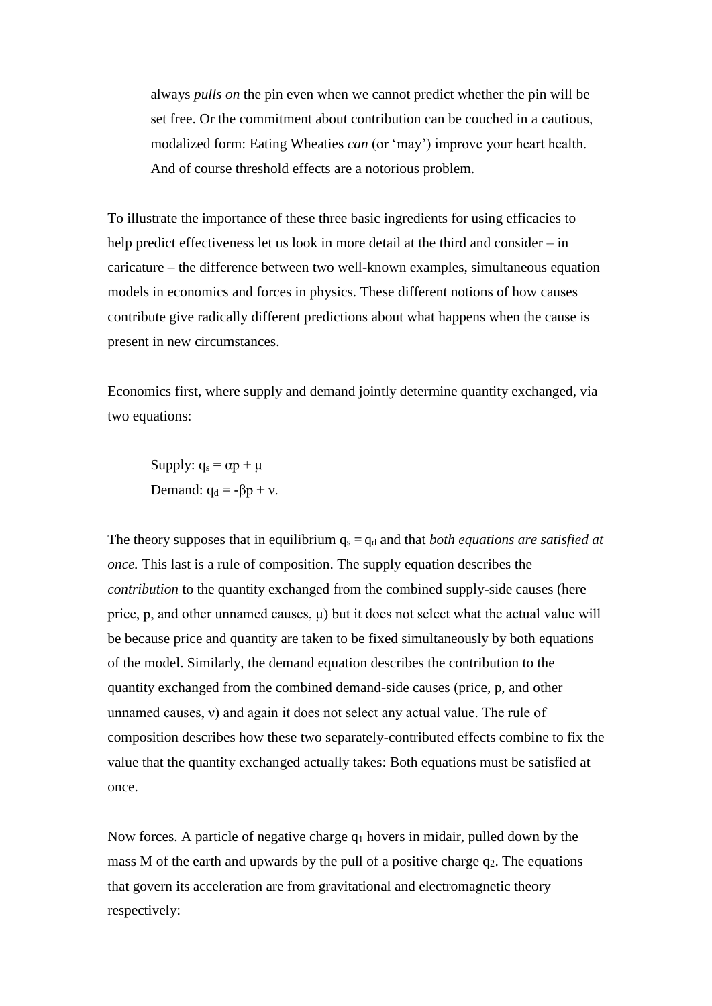always *pulls on* the pin even when we cannot predict whether the pin will be set free. Or the commitment about contribution can be couched in a cautious, modalized form: Eating Wheaties *can* (or 'may') improve your heart health. And of course threshold effects are a notorious problem.

To illustrate the importance of these three basic ingredients for using efficacies to help predict effectiveness let us look in more detail at the third and consider – in caricature – the difference between two well-known examples, simultaneous equation models in economics and forces in physics. These different notions of how causes contribute give radically different predictions about what happens when the cause is present in new circumstances.

Economics first, where supply and demand jointly determine quantity exchanged, via two equations:

Supply:  $q_s = \alpha p + \mu$ Demand:  $q_d = -\beta p + v$ .

The theory supposes that in equilibrium  $q_s = q_d$  and that *both equations are satisfied at once.* This last is a rule of composition. The supply equation describes the *contribution* to the quantity exchanged from the combined supply-side causes (here price, p, and other unnamed causes,  $\mu$ ) but it does not select what the actual value will be because price and quantity are taken to be fixed simultaneously by both equations of the model. Similarly, the demand equation describes the contribution to the quantity exchanged from the combined demand-side causes (price, p, and other unnamed causes, ν) and again it does not select any actual value. The rule of composition describes how these two separately-contributed effects combine to fix the value that the quantity exchanged actually takes: Both equations must be satisfied at once.

Now forces. A particle of negative charge  $q_1$  hovers in midair, pulled down by the mass M of the earth and upwards by the pull of a positive charge  $q_2$ . The equations that govern its acceleration are from gravitational and electromagnetic theory respectively: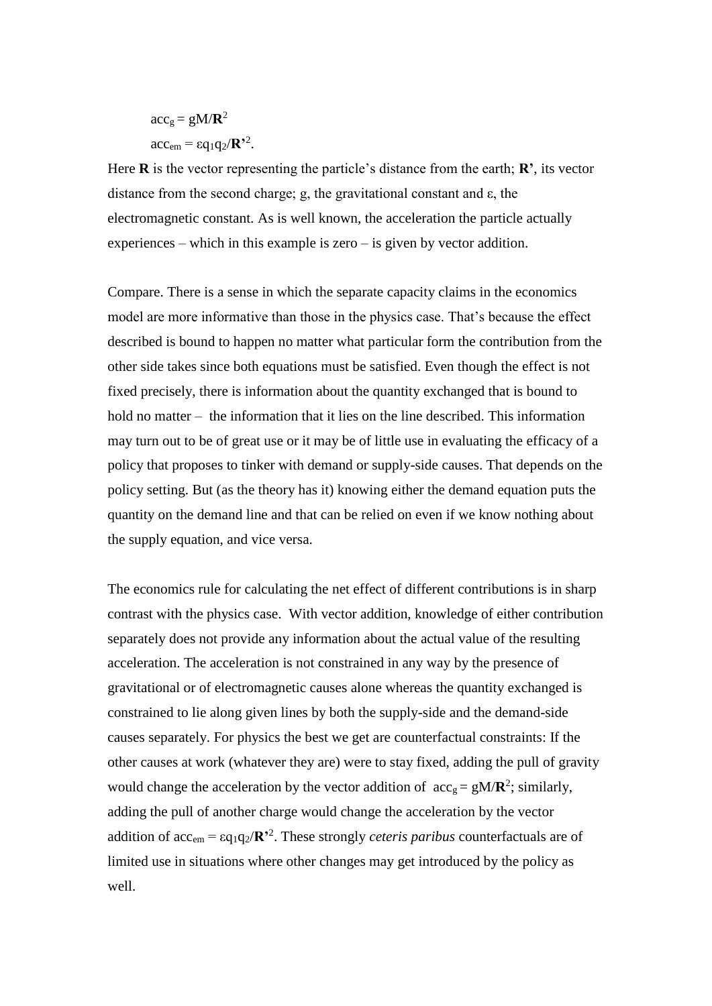$acc_g = gM/R^2$  $\mathrm{acc}_{\mathrm{em}} = \varepsilon q_1 q_2 / \mathbf{R}^3$ <sup>2</sup>.

Here **R** is the vector representing the particle's distance from the earth; **R'**, its vector distance from the second charge; g, the gravitational constant and ε, the electromagnetic constant. As is well known, the acceleration the particle actually experiences – which in this example is zero – is given by vector addition.

Compare. There is a sense in which the separate capacity claims in the economics model are more informative than those in the physics case. That's because the effect described is bound to happen no matter what particular form the contribution from the other side takes since both equations must be satisfied. Even though the effect is not fixed precisely, there is information about the quantity exchanged that is bound to hold no matter – the information that it lies on the line described. This information may turn out to be of great use or it may be of little use in evaluating the efficacy of a policy that proposes to tinker with demand or supply-side causes. That depends on the policy setting. But (as the theory has it) knowing either the demand equation puts the quantity on the demand line and that can be relied on even if we know nothing about the supply equation, and vice versa.

The economics rule for calculating the net effect of different contributions is in sharp contrast with the physics case. With vector addition, knowledge of either contribution separately does not provide any information about the actual value of the resulting acceleration. The acceleration is not constrained in any way by the presence of gravitational or of electromagnetic causes alone whereas the quantity exchanged is constrained to lie along given lines by both the supply-side and the demand-side causes separately. For physics the best we get are counterfactual constraints: If the other causes at work (whatever they are) were to stay fixed, adding the pull of gravity would change the acceleration by the vector addition of  $acc_g = gM/R^2$ ; similarly, adding the pull of another charge would change the acceleration by the vector addition of  $acc_{em} = \varepsilon q_1 q_2 / R^2$ . These strongly *ceteris paribus* counterfactuals are of limited use in situations where other changes may get introduced by the policy as well.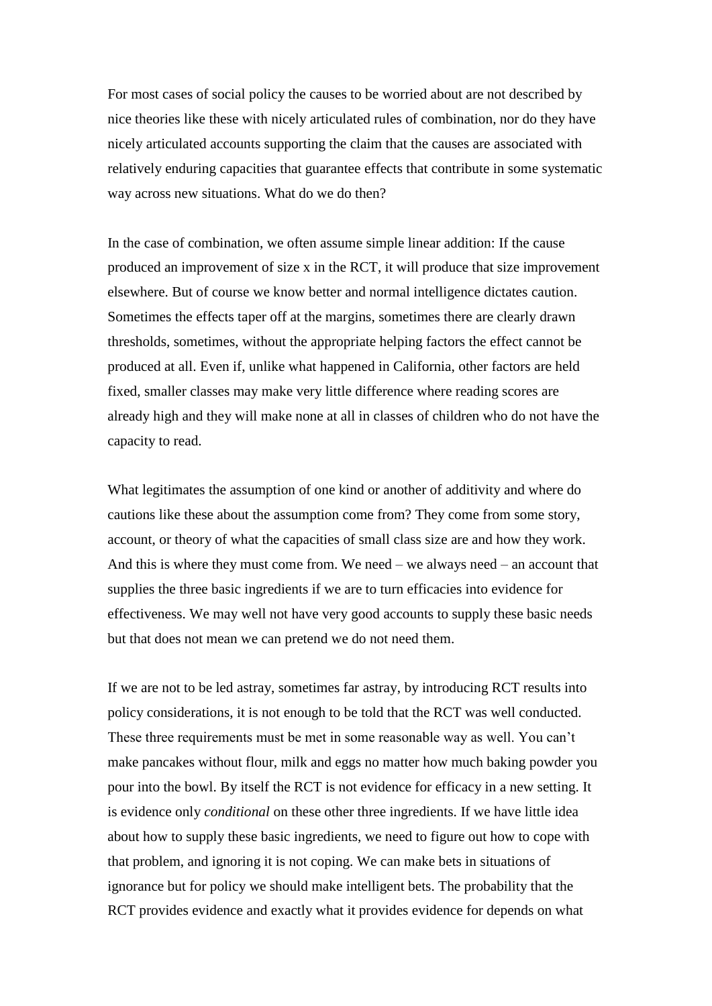For most cases of social policy the causes to be worried about are not described by nice theories like these with nicely articulated rules of combination, nor do they have nicely articulated accounts supporting the claim that the causes are associated with relatively enduring capacities that guarantee effects that contribute in some systematic way across new situations. What do we do then?

In the case of combination, we often assume simple linear addition: If the cause produced an improvement of size x in the RCT, it will produce that size improvement elsewhere. But of course we know better and normal intelligence dictates caution. Sometimes the effects taper off at the margins, sometimes there are clearly drawn thresholds, sometimes, without the appropriate helping factors the effect cannot be produced at all. Even if, unlike what happened in California, other factors are held fixed, smaller classes may make very little difference where reading scores are already high and they will make none at all in classes of children who do not have the capacity to read.

What legitimates the assumption of one kind or another of additivity and where do cautions like these about the assumption come from? They come from some story, account, or theory of what the capacities of small class size are and how they work. And this is where they must come from. We need – we always need – an account that supplies the three basic ingredients if we are to turn efficacies into evidence for effectiveness. We may well not have very good accounts to supply these basic needs but that does not mean we can pretend we do not need them.

If we are not to be led astray, sometimes far astray, by introducing RCT results into policy considerations, it is not enough to be told that the RCT was well conducted. These three requirements must be met in some reasonable way as well. You can't make pancakes without flour, milk and eggs no matter how much baking powder you pour into the bowl. By itself the RCT is not evidence for efficacy in a new setting. It is evidence only *conditional* on these other three ingredients. If we have little idea about how to supply these basic ingredients, we need to figure out how to cope with that problem, and ignoring it is not coping. We can make bets in situations of ignorance but for policy we should make intelligent bets. The probability that the RCT provides evidence and exactly what it provides evidence for depends on what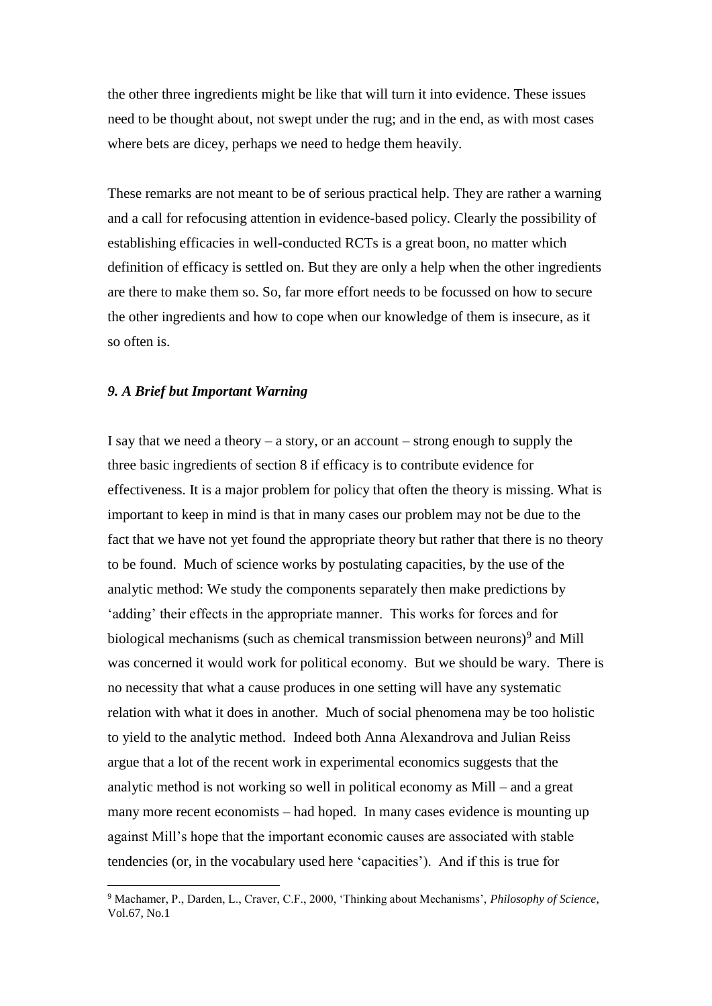the other three ingredients might be like that will turn it into evidence. These issues need to be thought about, not swept under the rug; and in the end, as with most cases where bets are dicey, perhaps we need to hedge them heavily.

These remarks are not meant to be of serious practical help. They are rather a warning and a call for refocusing attention in evidence-based policy. Clearly the possibility of establishing efficacies in well-conducted RCTs is a great boon, no matter which definition of efficacy is settled on. But they are only a help when the other ingredients are there to make them so. So, far more effort needs to be focussed on how to secure the other ingredients and how to cope when our knowledge of them is insecure, as it so often is.

# *9. A Brief but Important Warning*

1

I say that we need a theory – a story, or an account – strong enough to supply the three basic ingredients of section 8 if efficacy is to contribute evidence for effectiveness. It is a major problem for policy that often the theory is missing. What is important to keep in mind is that in many cases our problem may not be due to the fact that we have not yet found the appropriate theory but rather that there is no theory to be found. Much of science works by postulating capacities, by the use of the analytic method: We study the components separately then make predictions by 'adding' their effects in the appropriate manner. This works for forces and for biological mechanisms (such as chemical transmission between neurons)<sup>9</sup> and Mill was concerned it would work for political economy. But we should be wary. There is no necessity that what a cause produces in one setting will have any systematic relation with what it does in another. Much of social phenomena may be too holistic to yield to the analytic method. Indeed both Anna Alexandrova and Julian Reiss argue that a lot of the recent work in experimental economics suggests that the analytic method is not working so well in political economy as Mill – and a great many more recent economists – had hoped. In many cases evidence is mounting up against Mill's hope that the important economic causes are associated with stable tendencies (or, in the vocabulary used here 'capacities'). And if this is true for

<sup>9</sup> Machamer, P., Darden, L., Craver, C.F., 2000, 'Thinking about Mechanisms', *Philosophy of Science*, Vol.67, No.1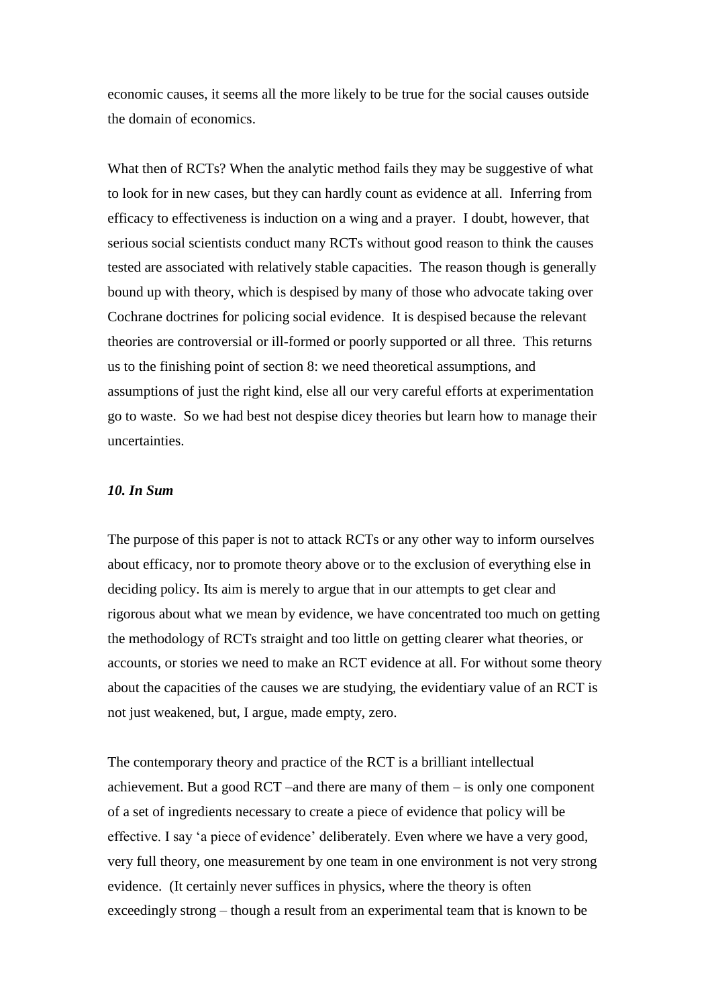economic causes, it seems all the more likely to be true for the social causes outside the domain of economics.

What then of RCTs? When the analytic method fails they may be suggestive of what to look for in new cases, but they can hardly count as evidence at all. Inferring from efficacy to effectiveness is induction on a wing and a prayer. I doubt, however, that serious social scientists conduct many RCTs without good reason to think the causes tested are associated with relatively stable capacities. The reason though is generally bound up with theory, which is despised by many of those who advocate taking over Cochrane doctrines for policing social evidence. It is despised because the relevant theories are controversial or ill-formed or poorly supported or all three. This returns us to the finishing point of section 8: we need theoretical assumptions, and assumptions of just the right kind, else all our very careful efforts at experimentation go to waste. So we had best not despise dicey theories but learn how to manage their uncertainties.

# *10. In Sum*

The purpose of this paper is not to attack RCTs or any other way to inform ourselves about efficacy, nor to promote theory above or to the exclusion of everything else in deciding policy. Its aim is merely to argue that in our attempts to get clear and rigorous about what we mean by evidence, we have concentrated too much on getting the methodology of RCTs straight and too little on getting clearer what theories, or accounts, or stories we need to make an RCT evidence at all. For without some theory about the capacities of the causes we are studying, the evidentiary value of an RCT is not just weakened, but, I argue, made empty, zero.

The contemporary theory and practice of the RCT is a brilliant intellectual achievement. But a good RCT –and there are many of them – is only one component of a set of ingredients necessary to create a piece of evidence that policy will be effective. I say 'a piece of evidence' deliberately. Even where we have a very good, very full theory, one measurement by one team in one environment is not very strong evidence. (It certainly never suffices in physics, where the theory is often exceedingly strong – though a result from an experimental team that is known to be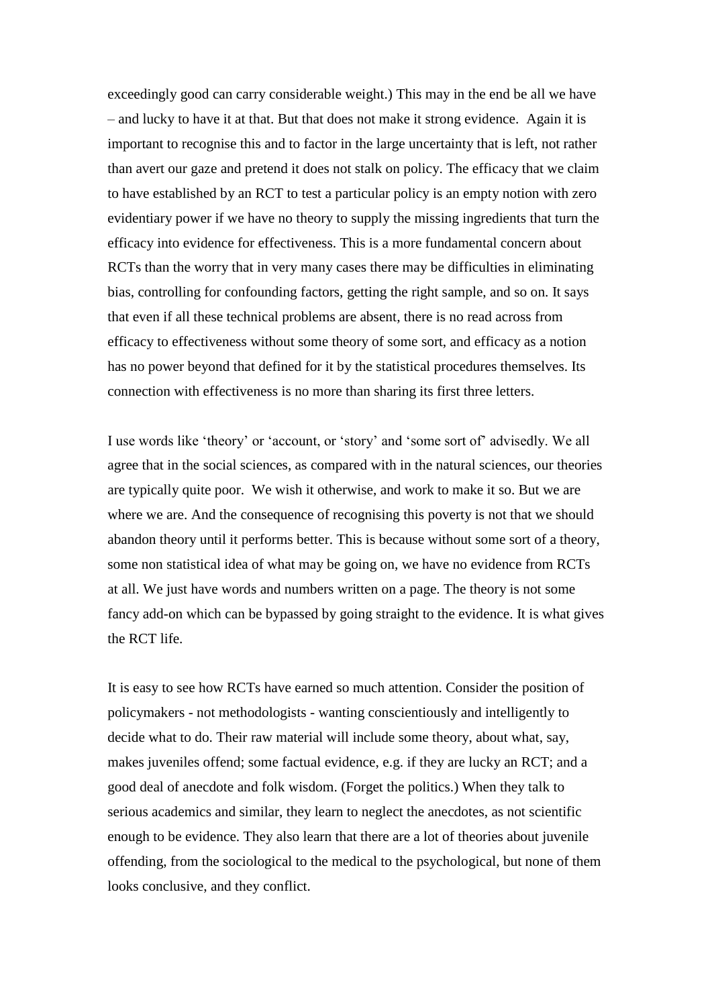exceedingly good can carry considerable weight.) This may in the end be all we have – and lucky to have it at that. But that does not make it strong evidence. Again it is important to recognise this and to factor in the large uncertainty that is left, not rather than avert our gaze and pretend it does not stalk on policy. The efficacy that we claim to have established by an RCT to test a particular policy is an empty notion with zero evidentiary power if we have no theory to supply the missing ingredients that turn the efficacy into evidence for effectiveness. This is a more fundamental concern about RCTs than the worry that in very many cases there may be difficulties in eliminating bias, controlling for confounding factors, getting the right sample, and so on. It says that even if all these technical problems are absent, there is no read across from efficacy to effectiveness without some theory of some sort, and efficacy as a notion has no power beyond that defined for it by the statistical procedures themselves. Its connection with effectiveness is no more than sharing its first three letters.

I use words like 'theory' or 'account, or 'story' and 'some sort of' advisedly. We all agree that in the social sciences, as compared with in the natural sciences, our theories are typically quite poor. We wish it otherwise, and work to make it so. But we are where we are. And the consequence of recognising this poverty is not that we should abandon theory until it performs better. This is because without some sort of a theory, some non statistical idea of what may be going on, we have no evidence from RCTs at all. We just have words and numbers written on a page. The theory is not some fancy add-on which can be bypassed by going straight to the evidence. It is what gives the RCT life.

It is easy to see how RCTs have earned so much attention. Consider the position of policymakers - not methodologists - wanting conscientiously and intelligently to decide what to do. Their raw material will include some theory, about what, say, makes juveniles offend; some factual evidence, e.g. if they are lucky an RCT; and a good deal of anecdote and folk wisdom. (Forget the politics.) When they talk to serious academics and similar, they learn to neglect the anecdotes, as not scientific enough to be evidence. They also learn that there are a lot of theories about juvenile offending, from the sociological to the medical to the psychological, but none of them looks conclusive, and they conflict.